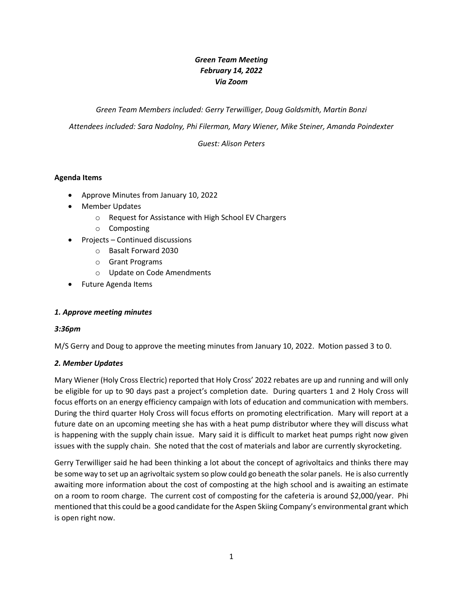# *Green Team Meeting February 14, 2022 Via Zoom*

*Green Team Members included: Gerry Terwilliger, Doug Goldsmith, Martin Bonzi*

*Attendees included: Sara Nadolny, Phi Filerman, Mary Wiener, Mike Steiner, Amanda Poindexter*

*Guest: Alison Peters*

### **Agenda Items**

- Approve Minutes from January 10, 2022
- Member Updates
	- o Request for Assistance with High School EV Chargers
	- o Composting
- Projects Continued discussions
	- o Basalt Forward 2030
	- o Grant Programs
	- o Update on Code Amendments
- Future Agenda Items

#### *1. Approve meeting minutes*

#### *3:36pm*

M/S Gerry and Doug to approve the meeting minutes from January 10, 2022. Motion passed 3 to 0.

#### *2. Member Updates*

Mary Wiener (Holy Cross Electric) reported that Holy Cross' 2022 rebates are up and running and will only be eligible for up to 90 days past a project's completion date. During quarters 1 and 2 Holy Cross will focus efforts on an energy efficiency campaign with lots of education and communication with members. During the third quarter Holy Cross will focus efforts on promoting electrification. Mary will report at a future date on an upcoming meeting she has with a heat pump distributor where they will discuss what is happening with the supply chain issue. Mary said it is difficult to market heat pumps right now given issues with the supply chain. She noted that the cost of materials and labor are currently skyrocketing.

Gerry Terwilliger said he had been thinking a lot about the concept of agrivoltaics and thinks there may be some way to set up an agrivoltaic system so plow could go beneath the solar panels. He is also currently awaiting more information about the cost of composting at the high school and is awaiting an estimate on a room to room charge. The current cost of composting for the cafeteria is around \$2,000/year. Phi mentioned that this could be a good candidate for the Aspen Skiing Company's environmental grant which is open right now.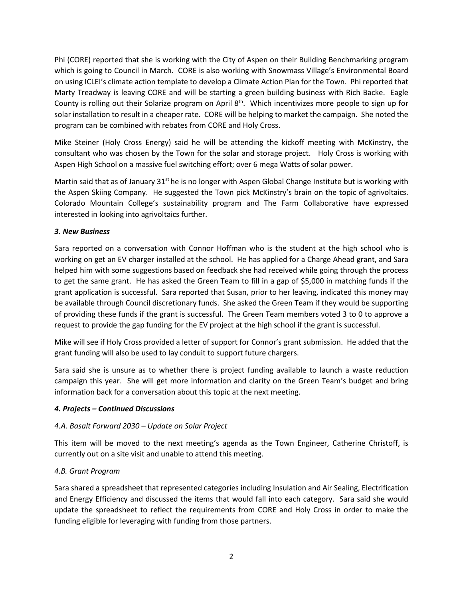Phi (CORE) reported that she is working with the City of Aspen on their Building Benchmarking program which is going to Council in March. CORE is also working with Snowmass Village's Environmental Board on using ICLEI's climate action template to develop a Climate Action Plan for the Town. Phi reported that Marty Treadway is leaving CORE and will be starting a green building business with Rich Backe. Eagle County is rolling out their Solarize program on April 8<sup>th</sup>. Which incentivizes more people to sign up for solar installation to result in a cheaper rate. CORE will be helping to market the campaign. She noted the program can be combined with rebates from CORE and Holy Cross.

Mike Steiner (Holy Cross Energy) said he will be attending the kickoff meeting with McKinstry, the consultant who was chosen by the Town for the solar and storage project. Holy Cross is working with Aspen High School on a massive fuel switching effort; over 6 mega Watts of solar power.

Martin said that as of January  $31<sup>st</sup>$  he is no longer with Aspen Global Change Institute but is working with the Aspen Skiing Company. He suggested the Town pick McKinstry's brain on the topic of agrivoltaics. Colorado Mountain College's sustainability program and The Farm Collaborative have expressed interested in looking into agrivoltaics further.

### *3. New Business*

Sara reported on a conversation with Connor Hoffman who is the student at the high school who is working on get an EV charger installed at the school. He has applied for a Charge Ahead grant, and Sara helped him with some suggestions based on feedback she had received while going through the process to get the same grant. He has asked the Green Team to fill in a gap of \$5,000 in matching funds if the grant application is successful. Sara reported that Susan, prior to her leaving, indicated this money may be available through Council discretionary funds. She asked the Green Team if they would be supporting of providing these funds if the grant is successful. The Green Team members voted 3 to 0 to approve a request to provide the gap funding for the EV project at the high school if the grant is successful.

Mike will see if Holy Cross provided a letter of support for Connor's grant submission. He added that the grant funding will also be used to lay conduit to support future chargers.

Sara said she is unsure as to whether there is project funding available to launch a waste reduction campaign this year. She will get more information and clarity on the Green Team's budget and bring information back for a conversation about this topic at the next meeting.

# *4. Projects – Continued Discussions*

# *4.A. Basalt Forward 2030 – Update on Solar Project*

This item will be moved to the next meeting's agenda as the Town Engineer, Catherine Christoff, is currently out on a site visit and unable to attend this meeting.

#### *4.B. Grant Program*

Sara shared a spreadsheet that represented categories including Insulation and Air Sealing, Electrification and Energy Efficiency and discussed the items that would fall into each category. Sara said she would update the spreadsheet to reflect the requirements from CORE and Holy Cross in order to make the funding eligible for leveraging with funding from those partners.